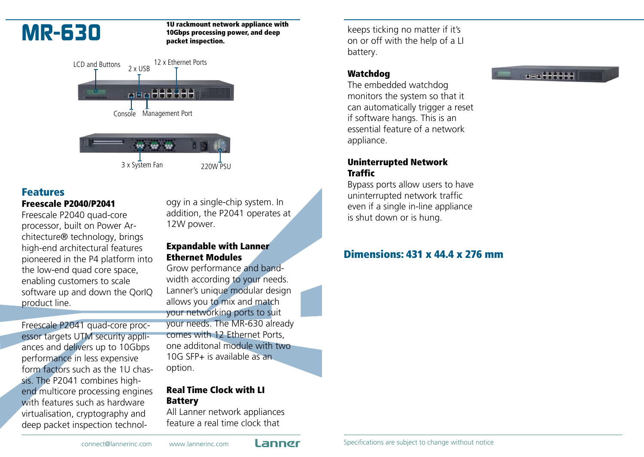

#### **MR-630** <sup>10</sup> rackmount network appliance with<br>10Gbps processing power, and deep 10Gbps processing power, and deep packet inspection.



#### Features Freescale P2040/P2041

Freescale P2040 quad-core processor, built on Power Architecture® technology, brings high-end architectural features pioneered in the P4 platform into the low-end quad core space, enabling customers to scale software up and down the QorIQ product line.

Freescale P2041 quad-core processor targets UTM security appliances and delivers up to 10Gbps performance in less expensive form factors such as the 1U chassis. The P2041 combines highend multicore processing engines with features such as hardware virtualisation, cryptography and deep packet inspection technology in a single-chip system. In addition, the P2041 operates at 12W power.

### Expandable with Lanner Ethernet Modules

Grow performance and bandwidth according to your needs. Lanner's unique modular design allows you to mix and match your networking ports to suit your needs. The MR-630 already comes with 12 Ethernet Ports, one additonal module with two 10G SFP+ is available as an option.

## Real Time Clock with LI Battery

All Lanner network appliances feature a real time clock that

keeps ticking no matter if it's on or off with the help of a LI battery.

## Watchdog

The embedded watchdog monitors the system so that it can automatically trigger a reset if software hangs. This is an essential feature of a network appliance.

### Uninterrupted Network Traffic

Bypass ports allow users to have uninterrupted network traffic even if a single in-line appliance is shut down or is hung.

## Dimensions: 431 x 44.4 x 276 mm

#### $x = x + 1 + 1 + 1 + 1$